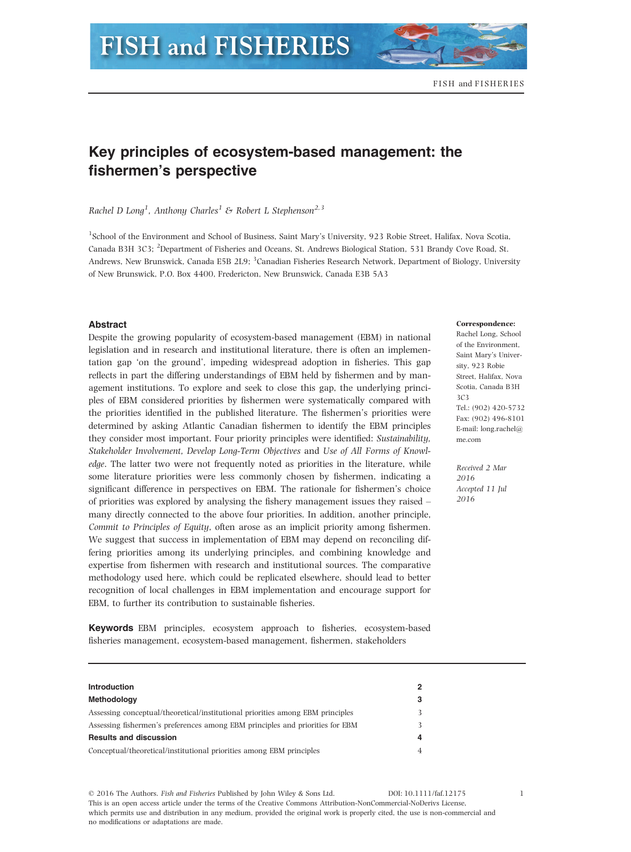# Key principles of ecosystem-based management: the fishermen's perspective

Rachel D Long<sup>1</sup>, Anthony Charles<sup>1</sup> & Robert L Stephenson<sup>2,3</sup>

1 School of the Environment and School of Business, Saint Mary's University, 923 Robie Street, Halifax, Nova Scotia, Canada B3H 3C3; <sup>2</sup>Department of Fisheries and Oceans, St. Andrews Biological Station, 531 Brandy Cove Road, St. Andrews, New Brunswick, Canada E5B 2L9; <sup>3</sup>Canadian Fisheries Research Network, Department of Biology, University of New Brunswick, P.O. Box 4400, Fredericton, New Brunswick, Canada E3B 5A3

## Abstract

Despite the growing popularity of ecosystem-based management (EBM) in national legislation and in research and institutional literature, there is often an implementation gap 'on the ground', impeding widespread adoption in fisheries. This gap reflects in part the differing understandings of EBM held by fishermen and by management institutions. To explore and seek to close this gap, the underlying principles of EBM considered priorities by fishermen were systematically compared with the priorities identified in the published literature. The fishermen's priorities were determined by asking Atlantic Canadian fishermen to identify the EBM principles they consider most important. Four priority principles were identified: Sustainability, Stakeholder Involvement, Develop Long-Term Objectives and Use of All Forms of Knowledge. The latter two were not frequently noted as priorities in the literature, while some literature priorities were less commonly chosen by fishermen, indicating a significant difference in perspectives on EBM. The rationale for fishermen's choice of priorities was explored by analysing the fishery management issues they raised – many directly connected to the above four priorities. In addition, another principle, Commit to Principles of Equity, often arose as an implicit priority among fishermen. We suggest that success in implementation of EBM may depend on reconciling differing priorities among its underlying principles, and combining knowledge and expertise from fishermen with research and institutional sources. The comparative methodology used here, which could be replicated elsewhere, should lead to better recognition of local challenges in EBM implementation and encourage support for EBM, to further its contribution to sustainable fisheries.

Keywords EBM principles, ecosystem approach to fisheries, ecosystem-based fisheries management, ecosystem-based management, fishermen, stakeholders

#### Correspondence:

Rachel Long, School of the Environment, Saint Mary's University, 923 Robie Street, Halifax, Nova Scotia, Canada B3H 3C3 Tel.: (902) 420-5732 Fax: (902) 496-8101 E-mail: long.rachel@ me.com

Received 2 Mar 2016 Accepted 11 Jul 2016

| <b>Introduction</b>                                                            | 2 |
|--------------------------------------------------------------------------------|---|
| Methodology                                                                    | 3 |
| Assessing conceptual/theoretical/institutional priorities among EBM principles |   |
| Assessing fishermen's preferences among EBM principles and priorities for EBM  |   |
| <b>Results and discussion</b>                                                  | 4 |
| Conceptual/theoretical/institutional priorities among EBM principles           | 4 |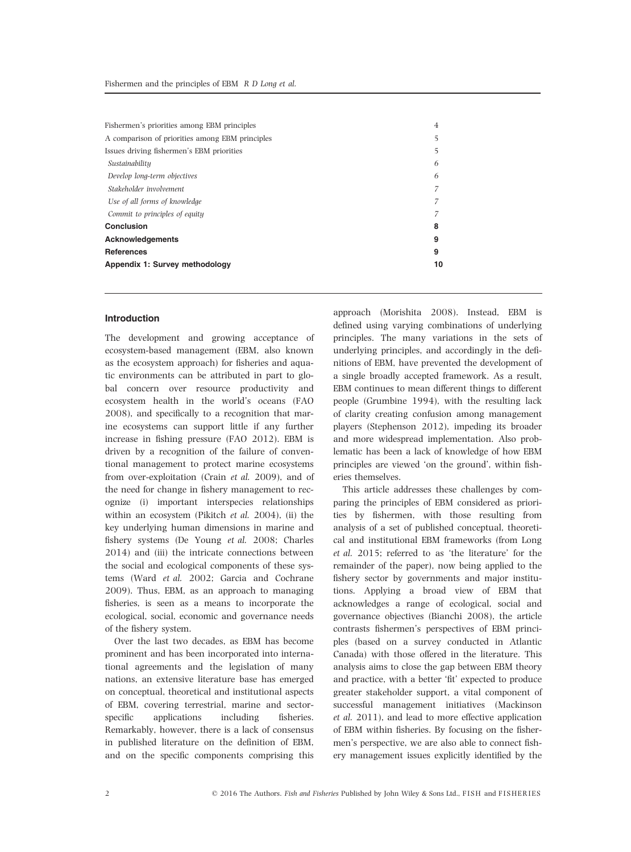| Fishermen's priorities among EBM principles     | 4  |
|-------------------------------------------------|----|
| A comparison of priorities among EBM principles | 5  |
| Issues driving fishermen's EBM priorities       | 5  |
| Sustainability                                  | 6  |
| Develop long-term objectives                    | 6  |
| Stakeholder involvement                         |    |
| Use of all forms of knowledge                   |    |
| Commit to principles of equity                  |    |
| Conclusion                                      | 8  |
| <b>Acknowledgements</b>                         | 9  |
| <b>References</b>                               | 9  |
| Appendix 1: Survey methodology                  | 10 |

# Introduction

The development and growing acceptance of ecosystem-based management (EBM, also known as the ecosystem approach) for fisheries and aquatic environments can be attributed in part to global concern over resource productivity and ecosystem health in the world's oceans (FAO 2008), and specifically to a recognition that marine ecosystems can support little if any further increase in fishing pressure (FAO 2012). EBM is driven by a recognition of the failure of conventional management to protect marine ecosystems from over-exploitation (Crain et al. 2009), and of the need for change in fishery management to recognize (i) important interspecies relationships within an ecosystem (Pikitch et al. 2004), (ii) the key underlying human dimensions in marine and fishery systems (De Young et al. 2008; Charles 2014) and (iii) the intricate connections between the social and ecological components of these systems (Ward et al. 2002; Garcia and Cochrane 2009). Thus, EBM, as an approach to managing fisheries, is seen as a means to incorporate the ecological, social, economic and governance needs of the fishery system.

Over the last two decades, as EBM has become prominent and has been incorporated into international agreements and the legislation of many nations, an extensive literature base has emerged on conceptual, theoretical and institutional aspects of EBM, covering terrestrial, marine and sectorspecific applications including fisheries. Remarkably, however, there is a lack of consensus in published literature on the definition of EBM, and on the specific components comprising this

approach (Morishita 2008). Instead, EBM is defined using varying combinations of underlying principles. The many variations in the sets of underlying principles, and accordingly in the definitions of EBM, have prevented the development of a single broadly accepted framework. As a result, EBM continues to mean different things to different people (Grumbine 1994), with the resulting lack of clarity creating confusion among management players (Stephenson 2012), impeding its broader and more widespread implementation. Also problematic has been a lack of knowledge of how EBM principles are viewed 'on the ground', within fisheries themselves.

This article addresses these challenges by comparing the principles of EBM considered as priorities by fishermen, with those resulting from analysis of a set of published conceptual, theoretical and institutional EBM frameworks (from Long et al. 2015; referred to as 'the literature' for the remainder of the paper), now being applied to the fishery sector by governments and major institutions. Applying a broad view of EBM that acknowledges a range of ecological, social and governance objectives (Bianchi 2008), the article contrasts fishermen's perspectives of EBM principles (based on a survey conducted in Atlantic Canada) with those offered in the literature. This analysis aims to close the gap between EBM theory and practice, with a better 'fit' expected to produce greater stakeholder support, a vital component of successful management initiatives (Mackinson et al. 2011), and lead to more effective application of EBM within fisheries. By focusing on the fishermen's perspective, we are also able to connect fishery management issues explicitly identified by the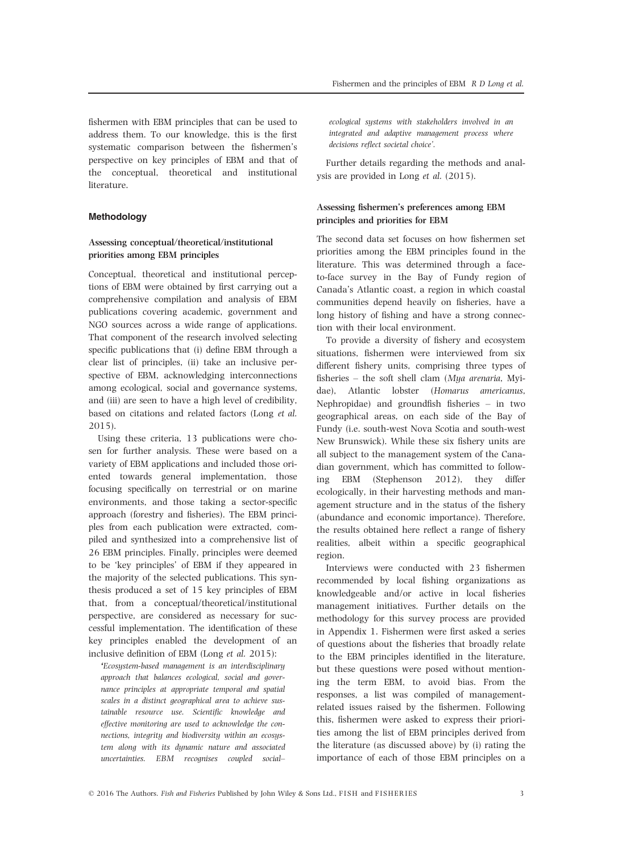fishermen with EBM principles that can be used to address them. To our knowledge, this is the first systematic comparison between the fishermen's perspective on key principles of EBM and that of the conceptual, theoretical and institutional literature.

## Methodology

# Assessing conceptual/theoretical/institutional priorities among EBM principles

Conceptual, theoretical and institutional perceptions of EBM were obtained by first carrying out a comprehensive compilation and analysis of EBM publications covering academic, government and NGO sources across a wide range of applications. That component of the research involved selecting specific publications that (i) define EBM through a clear list of principles, (ii) take an inclusive perspective of EBM, acknowledging interconnections among ecological, social and governance systems, and (iii) are seen to have a high level of credibility, based on citations and related factors (Long et al. 2015).

Using these criteria, 13 publications were chosen for further analysis. These were based on a variety of EBM applications and included those oriented towards general implementation, those focusing specifically on terrestrial or on marine environments, and those taking a sector-specific approach (forestry and fisheries). The EBM principles from each publication were extracted, compiled and synthesized into a comprehensive list of 26 EBM principles. Finally, principles were deemed to be 'key principles' of EBM if they appeared in the majority of the selected publications. This synthesis produced a set of 15 key principles of EBM that, from a conceptual/theoretical/institutional perspective, are considered as necessary for successful implementation. The identification of these key principles enabled the development of an inclusive definition of EBM (Long et al. 2015):

'Ecosystem-based management is an interdisciplinary approach that balances ecological, social and governance principles at appropriate temporal and spatial scales in a distinct geographical area to achieve sustainable resource use. Scientific knowledge and effective monitoring are used to acknowledge the connections, integrity and biodiversity within an ecosystem along with its dynamic nature and associated uncertainties. EBM recognises coupled social–

ecological systems with stakeholders involved in an integrated and adaptive management process where decisions reflect societal choice'.

Further details regarding the methods and analysis are provided in Long et al. (2015).

# Assessing fishermen's preferences among EBM principles and priorities for EBM

The second data set focuses on how fishermen set priorities among the EBM principles found in the literature. This was determined through a faceto-face survey in the Bay of Fundy region of Canada's Atlantic coast, a region in which coastal communities depend heavily on fisheries, have a long history of fishing and have a strong connection with their local environment.

To provide a diversity of fishery and ecosystem situations, fishermen were interviewed from six different fishery units, comprising three types of fisheries – the soft shell clam (Mya arenaria, Myidae), Atlantic lobster (Homarus americanus, Nephropidae) and groundfish fisheries – in two geographical areas, on each side of the Bay of Fundy (i.e. south-west Nova Scotia and south-west New Brunswick). While these six fishery units are all subject to the management system of the Canadian government, which has committed to following EBM (Stephenson 2012), they differ ecologically, in their harvesting methods and management structure and in the status of the fishery (abundance and economic importance). Therefore, the results obtained here reflect a range of fishery realities, albeit within a specific geographical region.

Interviews were conducted with 23 fishermen recommended by local fishing organizations as knowledgeable and/or active in local fisheries management initiatives. Further details on the methodology for this survey process are provided in Appendix 1. Fishermen were first asked a series of questions about the fisheries that broadly relate to the EBM principles identified in the literature, but these questions were posed without mentioning the term EBM, to avoid bias. From the responses, a list was compiled of managementrelated issues raised by the fishermen. Following this, fishermen were asked to express their priorities among the list of EBM principles derived from the literature (as discussed above) by (i) rating the importance of each of those EBM principles on a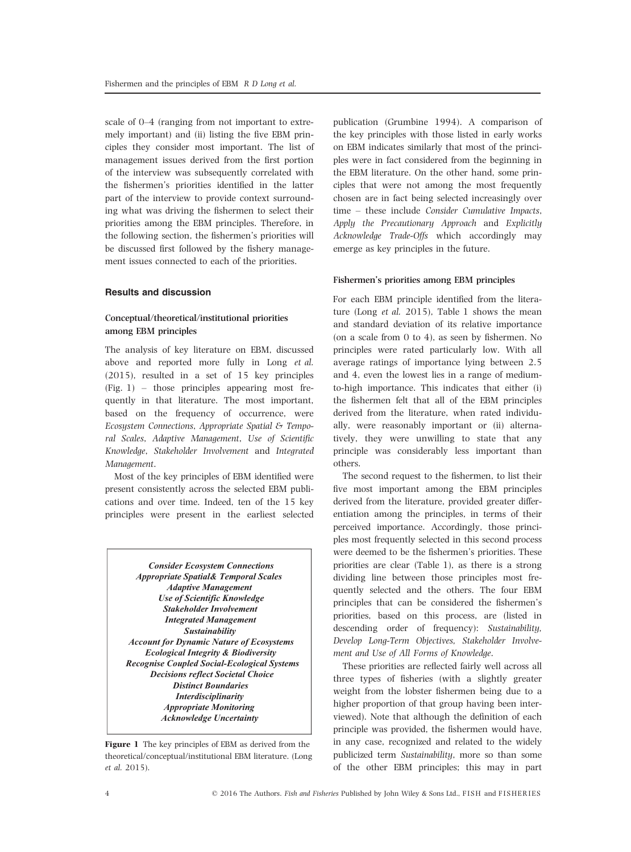scale of 0–4 (ranging from not important to extremely important) and (ii) listing the five EBM principles they consider most important. The list of management issues derived from the first portion of the interview was subsequently correlated with the fishermen's priorities identified in the latter part of the interview to provide context surrounding what was driving the fishermen to select their priorities among the EBM principles. Therefore, in the following section, the fishermen's priorities will be discussed first followed by the fishery management issues connected to each of the priorities.

## Results and discussion

# Conceptual/theoretical/institutional priorities among EBM principles

The analysis of key literature on EBM, discussed above and reported more fully in Long et al. (2015), resulted in a set of 15 key principles (Fig. 1) – those principles appearing most frequently in that literature. The most important, based on the frequency of occurrence, were Ecosystem Connections, Appropriate Spatial & Temporal Scales, Adaptive Management, Use of Scientific Knowledge, Stakeholder Involvement and Integrated Management.

Most of the key principles of EBM identified were present consistently across the selected EBM publications and over time. Indeed, ten of the 15 key principles were present in the earliest selected

*Consider Ecosystem Connections Appropriate Spatial& Temporal Scales Adaptive Management Use of Scientific Knowledge Stakeholder Involvement Integrated Management Sustainability Account for Dynamic Nature of Ecosystems Ecological Integrity & Biodiversity Recognise Coupled Social-Ecological Systems Decisions reflect Societal Choice Distinct Boundaries Interdisciplinarity Appropriate Monitoring Acknowledge Uncertainty* 

Figure 1 The key principles of EBM as derived from the theoretical/conceptual/institutional EBM literature. (Long et al. 2015).

publication (Grumbine 1994). A comparison of the key principles with those listed in early works on EBM indicates similarly that most of the principles were in fact considered from the beginning in the EBM literature. On the other hand, some principles that were not among the most frequently chosen are in fact being selected increasingly over time – these include Consider Cumulative Impacts, Apply the Precautionary Approach and Explicitly Acknowledge Trade-Offs which accordingly may emerge as key principles in the future.

### Fishermen's priorities among EBM principles

For each EBM principle identified from the literature (Long et al. 2015), Table 1 shows the mean and standard deviation of its relative importance (on a scale from 0 to 4), as seen by fishermen. No principles were rated particularly low. With all average ratings of importance lying between 2.5 and 4, even the lowest lies in a range of mediumto-high importance. This indicates that either (i) the fishermen felt that all of the EBM principles derived from the literature, when rated individually, were reasonably important or (ii) alternatively, they were unwilling to state that any principle was considerably less important than others.

The second request to the fishermen, to list their five most important among the EBM principles derived from the literature, provided greater differentiation among the principles, in terms of their perceived importance. Accordingly, those principles most frequently selected in this second process were deemed to be the fishermen's priorities. These priorities are clear (Table 1), as there is a strong dividing line between those principles most frequently selected and the others. The four EBM principles that can be considered the fishermen's priorities, based on this process, are (listed in descending order of frequency): Sustainability, Develop Long-Term Objectives, Stakeholder Involvement and Use of All Forms of Knowledge.

These priorities are reflected fairly well across all three types of fisheries (with a slightly greater weight from the lobster fishermen being due to a higher proportion of that group having been interviewed). Note that although the definition of each principle was provided, the fishermen would have, in any case, recognized and related to the widely publicized term Sustainability, more so than some of the other EBM principles; this may in part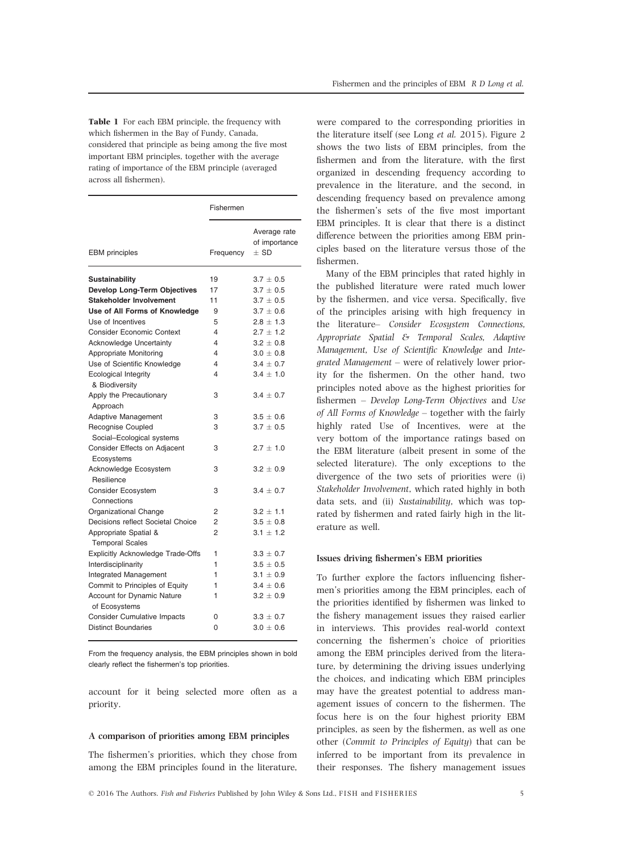Table 1 For each EBM principle, the frequency with which fishermen in the Bay of Fundy, Canada, considered that principle as being among the five most important EBM principles, together with the average rating of importance of the EBM principle (averaged across all fishermen).

|                                          | Fishermen      |                                           |
|------------------------------------------|----------------|-------------------------------------------|
| <b>EBM</b> principles                    | Frequency      | Average rate<br>of importance<br>$\pm$ SD |
| Sustainability                           | 19             | $3.7 \pm 0.5$                             |
| <b>Develop Long-Term Objectives</b>      | 17             | $3.7 \pm 0.5$                             |
| <b>Stakeholder Involvement</b>           | 11             | $3.7 \pm 0.5$                             |
| Use of All Forms of Knowledge            | 9              | $3.7 \pm 0.6$                             |
| Use of Incentives                        | 5              | $2.8 \pm 1.3$                             |
| <b>Consider Economic Context</b>         | 4              | $2.7 \pm 1.2$                             |
| Acknowledge Uncertainty                  | 4              | $3.2 \pm 0.8$                             |
| Appropriate Monitoring                   | 4              | $3.0 \pm 0.8$                             |
| Use of Scientific Knowledge              | 4              | $3.4 \pm 0.7$                             |
| <b>Ecological Integrity</b>              | 4              | $3.4 \pm 1.0$                             |
| & Biodiversity                           |                |                                           |
| Apply the Precautionary                  | 3              | $3.4 \pm 0.7$                             |
| Approach                                 |                |                                           |
| Adaptive Management                      | 3              | $3.5 \pm 0.6$                             |
| Recognise Coupled                        | 3              | $3.7 \pm 0.5$                             |
| Social-Ecological systems                |                |                                           |
| Consider Effects on Adjacent             | 3              | $2.7 \pm 1.0$                             |
| Ecosystems                               |                |                                           |
| Acknowledge Ecosystem                    | 3              | $3.2 \pm 0.9$                             |
| Resilience                               |                |                                           |
| Consider Ecosystem                       | З              | $3.4 \pm 0.7$                             |
| Connections                              |                |                                           |
| Organizational Change                    | 2              | $3.2 \pm 1.1$                             |
| Decisions reflect Societal Choice        | 2              | $3.5 \pm 0.8$                             |
| Appropriate Spatial &                    | $\overline{2}$ | $3.1 \pm 1.2$                             |
| <b>Temporal Scales</b>                   |                |                                           |
| <b>Explicitly Acknowledge Trade-Offs</b> | 1              | $3.3 \pm 0.7$                             |
| Interdisciplinarity                      | 1              | $3.5 \pm 0.5$                             |
| Integrated Management                    | 1              | $3.1 \pm 0.9$                             |
| Commit to Principles of Equity           | 1              | $3.4 \pm 0.6$                             |
| Account for Dynamic Nature               | 1              | $3.2 \pm 0.9$                             |
| of Ecosystems                            |                |                                           |
| <b>Consider Cumulative Impacts</b>       | 0              | $3.3 \pm 0.7$                             |
| <b>Distinct Boundaries</b>               | 0              | $3.0 \pm 0.6$                             |

From the frequency analysis, the EBM principles shown in bold clearly reflect the fishermen's top priorities.

account for it being selected more often as a priority.

#### A comparison of priorities among EBM principles

The fishermen's priorities, which they chose from among the EBM principles found in the literature,

were compared to the corresponding priorities in the literature itself (see Long et al. 2015). Figure 2 shows the two lists of EBM principles, from the fishermen and from the literature, with the first organized in descending frequency according to prevalence in the literature, and the second, in descending frequency based on prevalence among the fishermen's sets of the five most important EBM principles. It is clear that there is a distinct difference between the priorities among EBM principles based on the literature versus those of the fishermen.

Many of the EBM principles that rated highly in the published literature were rated much lower by the fishermen, and vice versa. Specifically, five of the principles arising with high frequency in the literature– Consider Ecosystem Connections, Appropriate Spatial & Temporal Scales, Adaptive Management, Use of Scientific Knowledge and Integrated Management – were of relatively lower priority for the fishermen. On the other hand, two principles noted above as the highest priorities for fishermen – Develop Long-Term Objectives and Use of All Forms of Knowledge – together with the fairly highly rated Use of Incentives, were at the very bottom of the importance ratings based on the EBM literature (albeit present in some of the selected literature). The only exceptions to the divergence of the two sets of priorities were (i) Stakeholder Involvement, which rated highly in both data sets, and (ii) Sustainability, which was toprated by fishermen and rated fairly high in the literature as well.

## Issues driving fishermen's EBM priorities

To further explore the factors influencing fishermen's priorities among the EBM principles, each of the priorities identified by fishermen was linked to the fishery management issues they raised earlier in interviews. This provides real-world context concerning the fishermen's choice of priorities among the EBM principles derived from the literature, by determining the driving issues underlying the choices, and indicating which EBM principles may have the greatest potential to address management issues of concern to the fishermen. The focus here is on the four highest priority EBM principles, as seen by the fishermen, as well as one other (Commit to Principles of Equity) that can be inferred to be important from its prevalence in their responses. The fishery management issues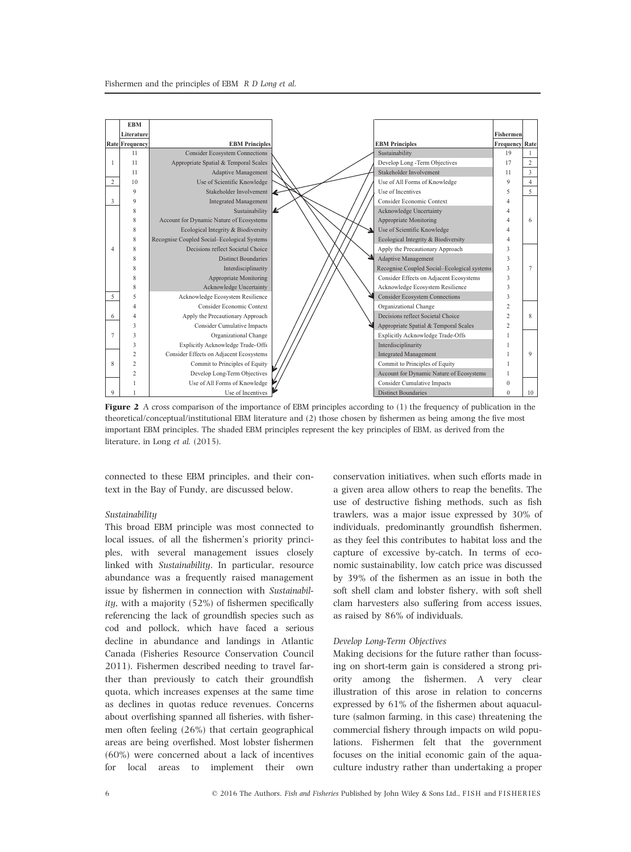

**Figure 2** A cross comparison of the importance of EBM principles according to  $(1)$  the frequency of publication in the theoretical/conceptual/institutional EBM literature and (2) those chosen by fishermen as being among the five most important EBM principles. The shaded EBM principles represent the key principles of EBM, as derived from the literature, in Long et al. (2015).

connected to these EBM principles, and their context in the Bay of Fundy, are discussed below.

# Sustainability

This broad EBM principle was most connected to local issues, of all the fishermen's priority principles, with several management issues closely linked with Sustainability. In particular, resource abundance was a frequently raised management issue by fishermen in connection with Sustainability, with a majority (52%) of fishermen specifically referencing the lack of groundfish species such as cod and pollock, which have faced a serious decline in abundance and landings in Atlantic Canada (Fisheries Resource Conservation Council 2011). Fishermen described needing to travel farther than previously to catch their groundfish quota, which increases expenses at the same time as declines in quotas reduce revenues. Concerns about overfishing spanned all fisheries, with fishermen often feeling (26%) that certain geographical areas are being overfished. Most lobster fishermen (60%) were concerned about a lack of incentives for local areas to implement their own

conservation initiatives, when such efforts made in a given area allow others to reap the benefits. The use of destructive fishing methods, such as fish trawlers, was a major issue expressed by 30% of individuals, predominantly groundfish fishermen, as they feel this contributes to habitat loss and the capture of excessive by-catch. In terms of economic sustainability, low catch price was discussed by 39% of the fishermen as an issue in both the soft shell clam and lobster fishery, with soft shell clam harvesters also suffering from access issues, as raised by 86% of individuals.

### Develop Long-Term Objectives

Making decisions for the future rather than focussing on short-term gain is considered a strong priority among the fishermen. A very clear illustration of this arose in relation to concerns expressed by 61% of the fishermen about aquaculture (salmon farming, in this case) threatening the commercial fishery through impacts on wild populations. Fishermen felt that the government focuses on the initial economic gain of the aquaculture industry rather than undertaking a proper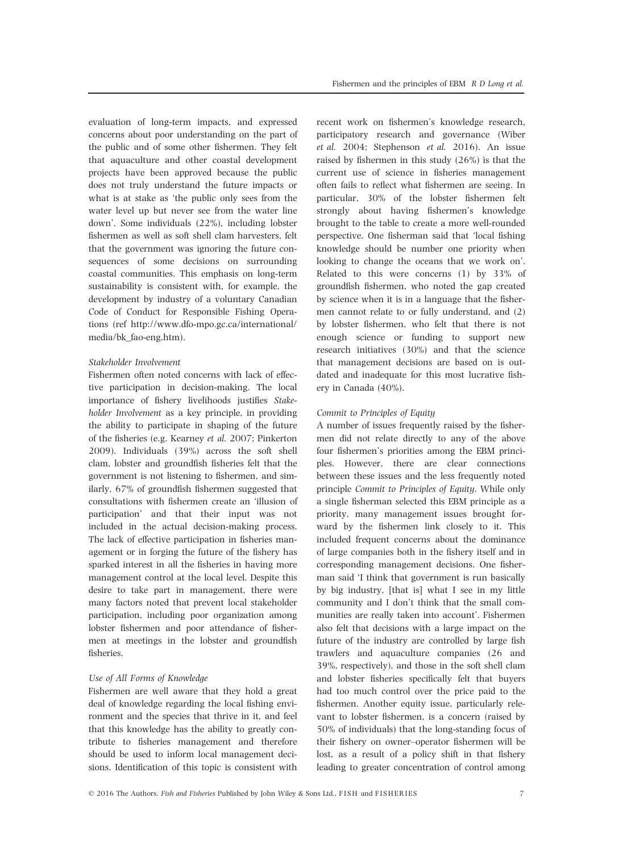evaluation of long-term impacts, and expressed concerns about poor understanding on the part of the public and of some other fishermen. They felt that aquaculture and other coastal development projects have been approved because the public does not truly understand the future impacts or what is at stake as 'the public only sees from the water level up but never see from the water line down'. Some individuals (22%), including lobster fishermen as well as soft shell clam harvesters, felt that the government was ignoring the future consequences of some decisions on surrounding coastal communities. This emphasis on long-term sustainability is consistent with, for example, the development by industry of a voluntary Canadian Code of Conduct for Responsible Fishing Operations (ref [http://www.dfo-mpo.gc.ca/international/](http://www.dfo-mpo.gc.ca/international/media/bk_fao-eng.htm) [media/bk\\_fao-eng.htm\)](http://www.dfo-mpo.gc.ca/international/media/bk_fao-eng.htm).

## Stakeholder Involvement

Fishermen often noted concerns with lack of effective participation in decision-making. The local importance of fishery livelihoods justifies Stakeholder Involvement as a key principle, in providing the ability to participate in shaping of the future of the fisheries (e.g. Kearney et al. 2007; Pinkerton 2009). Individuals (39%) across the soft shell clam, lobster and groundfish fisheries felt that the government is not listening to fishermen, and similarly, 67% of groundfish fishermen suggested that consultations with fishermen create an 'illusion of participation' and that their input was not included in the actual decision-making process. The lack of effective participation in fisheries management or in forging the future of the fishery has sparked interest in all the fisheries in having more management control at the local level. Despite this desire to take part in management, there were many factors noted that prevent local stakeholder participation, including poor organization among lobster fishermen and poor attendance of fishermen at meetings in the lobster and groundfish fisheries.

### Use of All Forms of Knowledge

Fishermen are well aware that they hold a great deal of knowledge regarding the local fishing environment and the species that thrive in it, and feel that this knowledge has the ability to greatly contribute to fisheries management and therefore should be used to inform local management decisions. Identification of this topic is consistent with

recent work on fishermen's knowledge research, participatory research and governance (Wiber et al. 2004; Stephenson et al. 2016). An issue raised by fishermen in this study (26%) is that the current use of science in fisheries management often fails to reflect what fishermen are seeing. In particular, 30% of the lobster fishermen felt strongly about having fishermen's knowledge brought to the table to create a more well-rounded perspective. One fisherman said that 'local fishing knowledge should be number one priority when looking to change the oceans that we work on'. Related to this were concerns (1) by 33% of groundfish fishermen, who noted the gap created by science when it is in a language that the fishermen cannot relate to or fully understand, and (2) by lobster fishermen, who felt that there is not enough science or funding to support new research initiatives (30%) and that the science that management decisions are based on is outdated and inadequate for this most lucrative fishery in Canada (40%).

# Commit to Principles of Equity

A number of issues frequently raised by the fishermen did not relate directly to any of the above four fishermen's priorities among the EBM principles. However, there are clear connections between these issues and the less frequently noted principle Commit to Principles of Equity. While only a single fisherman selected this EBM principle as a priority, many management issues brought forward by the fishermen link closely to it. This included frequent concerns about the dominance of large companies both in the fishery itself and in corresponding management decisions. One fisherman said 'I think that government is run basically by big industry, [that is] what I see in my little community and I don't think that the small communities are really taken into account'. Fishermen also felt that decisions with a large impact on the future of the industry are controlled by large fish trawlers and aquaculture companies (26 and 39%, respectively), and those in the soft shell clam and lobster fisheries specifically felt that buyers had too much control over the price paid to the fishermen. Another equity issue, particularly relevant to lobster fishermen, is a concern (raised by 50% of individuals) that the long-standing focus of their fishery on owner–operator fishermen will be lost, as a result of a policy shift in that fishery leading to greater concentration of control among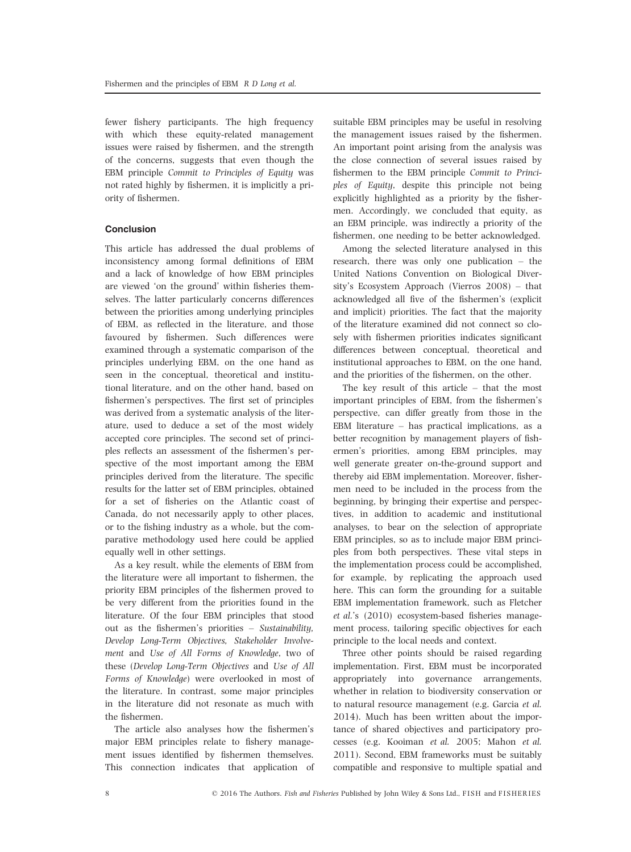fewer fishery participants. The high frequency with which these equity-related management issues were raised by fishermen, and the strength of the concerns, suggests that even though the EBM principle Commit to Principles of Equity was not rated highly by fishermen, it is implicitly a priority of fishermen.

# Conclusion

This article has addressed the dual problems of inconsistency among formal definitions of EBM and a lack of knowledge of how EBM principles are viewed 'on the ground' within fisheries themselves. The latter particularly concerns differences between the priorities among underlying principles of EBM, as reflected in the literature, and those favoured by fishermen. Such differences were examined through a systematic comparison of the principles underlying EBM, on the one hand as seen in the conceptual, theoretical and institutional literature, and on the other hand, based on fishermen's perspectives. The first set of principles was derived from a systematic analysis of the literature, used to deduce a set of the most widely accepted core principles. The second set of principles reflects an assessment of the fishermen's perspective of the most important among the EBM principles derived from the literature. The specific results for the latter set of EBM principles, obtained for a set of fisheries on the Atlantic coast of Canada, do not necessarily apply to other places, or to the fishing industry as a whole, but the comparative methodology used here could be applied equally well in other settings.

As a key result, while the elements of EBM from the literature were all important to fishermen, the priority EBM principles of the fishermen proved to be very different from the priorities found in the literature. Of the four EBM principles that stood out as the fishermen's priorities – Sustainability, Develop Long-Term Objectives, Stakeholder Involvement and Use of All Forms of Knowledge, two of these (Develop Long-Term Objectives and Use of All Forms of Knowledge) were overlooked in most of the literature. In contrast, some major principles in the literature did not resonate as much with the fishermen.

The article also analyses how the fishermen's major EBM principles relate to fishery management issues identified by fishermen themselves. This connection indicates that application of suitable EBM principles may be useful in resolving the management issues raised by the fishermen. An important point arising from the analysis was the close connection of several issues raised by fishermen to the EBM principle Commit to Principles of Equity, despite this principle not being explicitly highlighted as a priority by the fishermen. Accordingly, we concluded that equity, as an EBM principle, was indirectly a priority of the fishermen, one needing to be better acknowledged.

Among the selected literature analysed in this research, there was only one publication – the United Nations Convention on Biological Diversity's Ecosystem Approach (Vierros 2008) – that acknowledged all five of the fishermen's (explicit and implicit) priorities. The fact that the majority of the literature examined did not connect so closely with fishermen priorities indicates significant differences between conceptual, theoretical and institutional approaches to EBM, on the one hand, and the priorities of the fishermen, on the other.

The key result of this article – that the most important principles of EBM, from the fishermen's perspective, can differ greatly from those in the EBM literature – has practical implications, as a better recognition by management players of fishermen's priorities, among EBM principles, may well generate greater on-the-ground support and thereby aid EBM implementation. Moreover, fishermen need to be included in the process from the beginning, by bringing their expertise and perspectives, in addition to academic and institutional analyses, to bear on the selection of appropriate EBM principles, so as to include major EBM principles from both perspectives. These vital steps in the implementation process could be accomplished, for example, by replicating the approach used here. This can form the grounding for a suitable EBM implementation framework, such as Fletcher et al.'s (2010) ecosystem-based fisheries management process, tailoring specific objectives for each principle to the local needs and context.

Three other points should be raised regarding implementation. First, EBM must be incorporated appropriately into governance arrangements, whether in relation to biodiversity conservation or to natural resource management (e.g. Garcia et al. 2014). Much has been written about the importance of shared objectives and participatory processes (e.g. Kooiman et al. 2005; Mahon et al. 2011). Second, EBM frameworks must be suitably compatible and responsive to multiple spatial and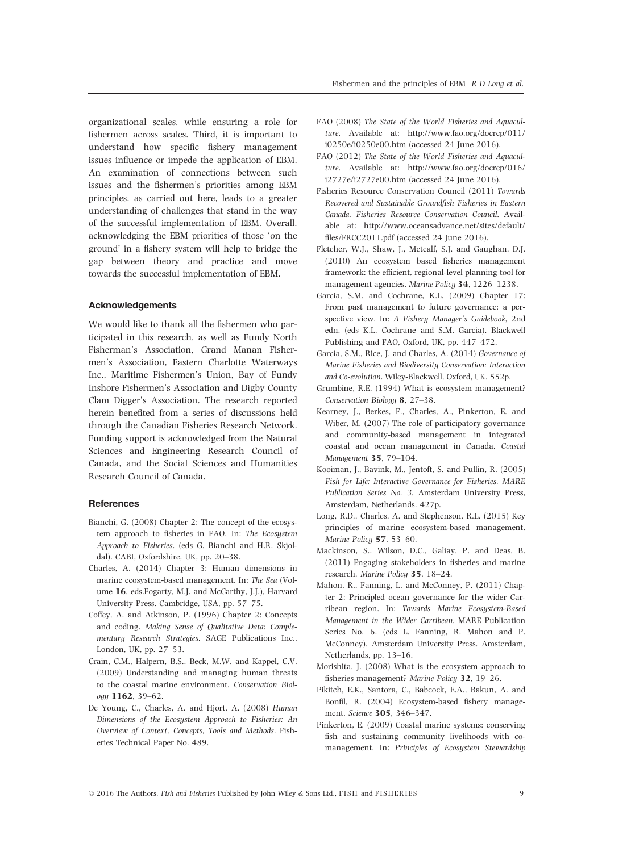organizational scales, while ensuring a role for fishermen across scales. Third, it is important to understand how specific fishery management issues influence or impede the application of EBM. An examination of connections between such issues and the fishermen's priorities among EBM principles, as carried out here, leads to a greater understanding of challenges that stand in the way of the successful implementation of EBM. Overall, acknowledging the EBM priorities of those 'on the ground' in a fishery system will help to bridge the gap between theory and practice and move towards the successful implementation of EBM.

#### Acknowledgements

We would like to thank all the fishermen who participated in this research, as well as Fundy North Fisherman's Association, Grand Manan Fishermen's Association, Eastern Charlotte Waterways Inc., Maritime Fishermen's Union, Bay of Fundy Inshore Fishermen's Association and Digby County Clam Digger's Association. The research reported herein benefited from a series of discussions held through the Canadian Fisheries Research Network. Funding support is acknowledged from the Natural Sciences and Engineering Research Council of Canada, and the Social Sciences and Humanities Research Council of Canada.

#### References

- Bianchi, G. (2008) Chapter 2: The concept of the ecosystem approach to fisheries in FAO. In: The Ecosystem Approach to Fisheries. (eds G. Bianchi and H.R. Skjoldal). CABI, Oxfordshire, UK, pp. 20–38.
- Charles, A. (2014) Chapter 3: Human dimensions in marine ecosystem-based management. In: The Sea (Volume 16, eds.Fogarty, M.J. and McCarthy, J.J.), Harvard University Press. Cambridge, USA, pp. 57–75.
- Coffey, A. and Atkinson, P. (1996) Chapter 2: Concepts and coding. Making Sense of Qualitative Data: Complementary Research Strategies. SAGE Publications Inc., London, UK, pp. 27–53.
- Crain, C.M., Halpern, B.S., Beck, M.W. and Kappel, C.V. (2009) Understanding and managing human threats to the coastal marine environment. Conservation Biology 1162, 39–62.
- De Young, C., Charles, A. and Hjort, A. (2008) Human Dimensions of the Ecosystem Approach to Fisheries: An Overview of Context, Concepts, Tools and Methods. Fisheries Technical Paper No. 489.
- FAO (2008) The State of the World Fisheries and Aquaculture. Available at: [http://www.fao.org/docrep/011/](http://www.fao.org/docrep/011/i0250e/i0250e00.htm) [i0250e/i0250e00.htm](http://www.fao.org/docrep/011/i0250e/i0250e00.htm) (accessed 24 June 2016).
- FAO (2012) The State of the World Fisheries and Aquaculture. Available at: [http://www.fao.org/docrep/016/](http://www.fao.org/docrep/011/i0250e/i0250e00.htm) [i2727e/i2727e00.htm](http://www.fao.org/docrep/011/i0250e/i0250e00.htm) (accessed 24 June 2016).
- Fisheries Resource Conservation Council (2011) Towards Recovered and Sustainable Groundfish Fisheries in Eastern Canada. Fisheries Resource Conservation Council. Available at: [http://www.oceansadvance.net/sites/default/](http://www.fao.org/docrep/011/i0250e/i0250e00.htm) [files/FRCC2011.pdf](http://www.fao.org/docrep/011/i0250e/i0250e00.htm) (accessed 24 June 2016).
- Fletcher, W.J., Shaw, J., Metcalf, S.J. and Gaughan, D.J. (2010) An ecosystem based fisheries management framework: the efficient, regional-level planning tool for management agencies. Marine Policy 34, 1226–1238.
- Garcia, S.M. and Cochrane, K.L. (2009) Chapter 17: From past management to future governance: a perspective view. In: A Fishery Manager's Guidebook, 2nd edn. (eds K.L. Cochrane and S.M. Garcia). Blackwell Publishing and FAO, Oxford, UK, pp. 447–472.
- Garcia, S.M., Rice, J. and Charles, A. (2014) Governance of Marine Fisheries and Biodiversity Conservation: Interaction and Co-evolution. Wiley-Blackwell, Oxford, UK. 552p.
- Grumbine, R.E. (1994) What is ecosystem management? Conservation Biology 8, 27–38.
- Kearney, J., Berkes, F., Charles, A., Pinkerton, E. and Wiber, M. (2007) The role of participatory governance and community-based management in integrated coastal and ocean management in Canada. Coastal Management 35, 79–104.
- Kooiman, J., Bavink, M., Jentoft, S. and Pullin, R. (2005) Fish for Life: Interactive Governance for Fisheries. MARE Publication Series No. 3. Amsterdam University Press, Amsterdam, Netherlands. 427p.
- Long, R.D., Charles, A. and Stephenson, R.L. (2015) Key principles of marine ecosystem-based management. Marine Policy 57, 53–60.
- Mackinson, S., Wilson, D.C., Galiay, P. and Deas, B. (2011) Engaging stakeholders in fisheries and marine research. Marine Policy 35, 18–24.
- Mahon, R., Fanning, L. and McConney, P. (2011) Chapter 2: Principled ocean governance for the wider Carribean region. In: Towards Marine Ecosystem-Based Management in the Wider Carribean. MARE Publication Series No. 6. (eds L. Fanning, R. Mahon and P. McConney). Amsterdam University Press. Amsterdam, Netherlands, pp. 13–16.
- Morishita, J. (2008) What is the ecosystem approach to fisheries management? Marine Policy 32, 19–26.
- Pikitch, E.K., Santora, C., Babcock, E.A., Bakun, A. and Bonfil, R. (2004) Ecosystem-based fishery management. Science 305, 346–347.
- Pinkerton, E. (2009) Coastal marine systems: conserving fish and sustaining community livelihoods with comanagement. In: Principles of Ecosystem Stewardship